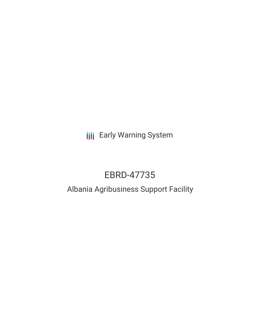**III** Early Warning System

# EBRD-47735

# Albania Agribusiness Support Facility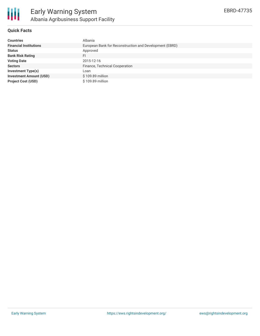

# **Quick Facts**

| <b>Countries</b>               | Albania                                                 |
|--------------------------------|---------------------------------------------------------|
| <b>Financial Institutions</b>  | European Bank for Reconstruction and Development (EBRD) |
| <b>Status</b>                  | Approved                                                |
| <b>Bank Risk Rating</b>        | FI                                                      |
| <b>Voting Date</b>             | 2015-12-16                                              |
| <b>Sectors</b>                 | Finance, Technical Cooperation                          |
| <b>Investment Type(s)</b>      | Loan                                                    |
| <b>Investment Amount (USD)</b> | \$109.89 million                                        |
| <b>Project Cost (USD)</b>      | \$109.89 million                                        |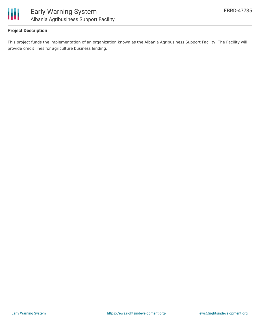

# **Project Description**

This project funds the implementation of an organization known as the Albania Agribusiness Support Facility. The Facility will provide credit lines for agriculture business lending,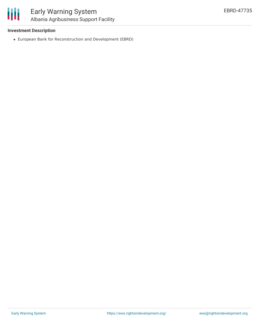### **Investment Description**

European Bank for Reconstruction and Development (EBRD)